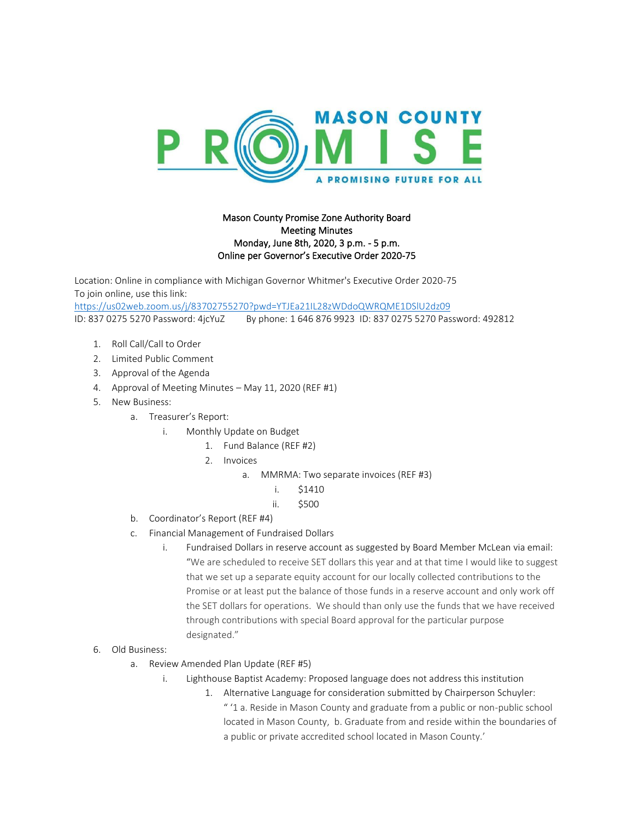

## Mason County Promise Zone Authority Board Meeting Minutes Monday, June 8th, 2020, 3 p.m. - 5 p.m. Online per Governor's Executive Order 2020-75

Location: Online in compliance with Michigan Governor Whitmer's Executive Order 2020-75 To join online, use this link: <https://us02web.zoom.us/j/83702755270?pwd=YTJEa21IL28zWDdoQWRQME1DSlU2dz09> ID: 837 0275 5270 Password: 4jcYuZ By phone: 1 646 876 9923 ID: 837 0275 5270 Password: 492812

- 1. Roll Call/Call to Order
- 2. Limited Public Comment
- 3. Approval of the Agenda
- 4. Approval of Meeting Minutes May 11, 2020 (REF #1)
- 5. New Business:
	- a. Treasurer's Report:
		- i. Monthly Update on Budget
			- 1. Fund Balance (REF #2)
			- 2. Invoices
				- a. MMRMA: Two separate invoices (REF #3)
					- i. \$1410
					- ii. \$500
	- b. Coordinator's Report (REF #4)
	- c. Financial Management of Fundraised Dollars
		- i. Fundraised Dollars in reserve account as suggested by Board Member McLean via email: "We are scheduled to receive SET dollars this year and at that time I would like to suggest that we set up a separate equity account for our locally collected contributions to the Promise or at least put the balance of those funds in a reserve account and only work off the SET dollars for operations. We should than only use the funds that we have received through contributions with special Board approval for the particular purpose designated."
- 6. Old Business:
	- a. Review Amended Plan Update (REF #5)
		- i. Lighthouse Baptist Academy: Proposed language does not address this institution
			- 1. Alternative Language for consideration submitted by Chairperson Schuyler: " '1 a. Reside in Mason County and graduate from a public or non-public school located in Mason County, b. Graduate from and reside within the boundaries of a public or private accredited school located in Mason County.'